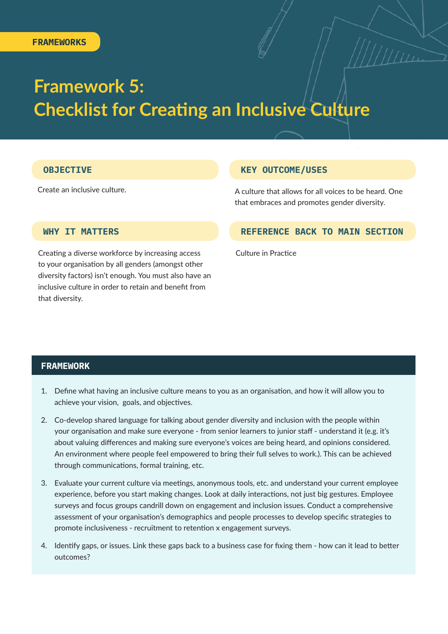# **Framework 5: Checklist for Creating an Inclusive Culture**

### **OBJECTIVE KEY OUTCOME/USES**

Create an inclusive culture.<br>A culture that allows for all voices to be heard. One that embraces and promotes gender diversity.

### **WHY IT MATTERS**

Creating a diverse workforce by increasing access to your organisation by all genders (amongst other diversity factors) isn't enough. You must also have an inclusive culture in order to retain and benefit from that diversity.

### **REFERENCE BACK TO MAIN SECTION**

Culture in Practice

### **FRAMEWORK**

- 1. Define what having an inclusive culture means to you as an organisation, and how it will allow you to achieve your vision, goals, and objectives.
- 2. Co-develop shared language for talking about gender diversity and inclusion with the people within your organisation and make sure everyone - from senior learners to junior staff - understand it (e.g. it's about valuing differences and making sure everyone's voices are being heard, and opinions considered. An environment where people feel empowered to bring their full selves to work.). This can be achieved through communications, formal training, etc.
- 3. Evaluate your current culture via meetings, anonymous tools, etc. and understand your current employee experience, before you start making changes. Look at daily interactions, not just big gestures. Employee surveys and focus groups candrill down on engagement and inclusion issues. Conduct a comprehensive assessment of your organisation's demographics and people processes to develop specific strategies to promote inclusiveness - recruitment to retention x engagement surveys.
- 4. Identify gaps, or issues. Link these gaps back to a business case for fixing them how can it lead to better outcomes?